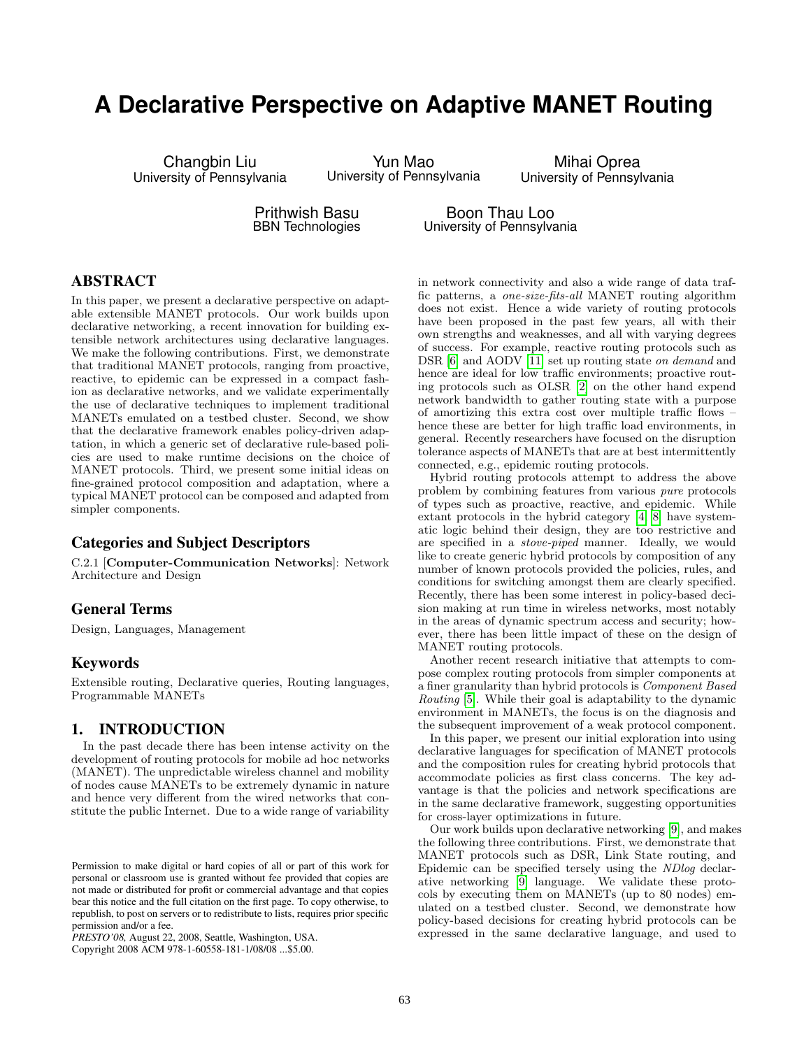# **A Declarative Perspective on Adaptive MANET Routing**

Changbin Liu University of Pennsylvania

Yun Mao University of Pennsylvania

Mihai Oprea University of Pennsylvania

Prithwish Basu BBN Technologies

Boon Thau Loo University of Pennsylvania

## ABSTRACT

In this paper, we present a declarative perspective on adaptable extensible MANET protocols. Our work builds upon declarative networking, a recent innovation for building extensible network architectures using declarative languages. We make the following contributions. First, we demonstrate that traditional MANET protocols, ranging from proactive, reactive, to epidemic can be expressed in a compact fashion as declarative networks, and we validate experimentally the use of declarative techniques to implement traditional MANETs emulated on a testbed cluster. Second, we show that the declarative framework enables policy-driven adaptation, in which a generic set of declarative rule-based policies are used to make runtime decisions on the choice of MANET protocols. Third, we present some initial ideas on fine-grained protocol composition and adaptation, where a typical MANET protocol can be composed and adapted from simpler components.

#### Categories and Subject Descriptors

C.2.1 [Computer-Communication Networks]: Network Architecture and Design

#### General Terms

Design, Languages, Management

#### Keywords

Extensible routing, Declarative queries, Routing languages, Programmable MANETs

### 1. INTRODUCTION

In the past decade there has been intense activity on the development of routing protocols for mobile ad hoc networks (MANET). The unpredictable wireless channel and mobility of nodes cause MANETs to be extremely dynamic in nature and hence very different from the wired networks that constitute the public Internet. Due to a wide range of variability

Copyright 2008 ACM 978-1-60558-181-1/08/08 ...\$5.00.

in network connectivity and also a wide range of data traffic patterns, a one-size-fits-all MANET routing algorithm does not exist. Hence a wide variety of routing protocols have been proposed in the past few years, all with their own strengths and weaknesses, and all with varying degrees of success. For example, reactive routing protocols such as DSR [\[6\]](#page-5-0) and AODV [\[11\]](#page-5-1) set up routing state *on demand* and hence are ideal for low traffic environments; proactive routing protocols such as OLSR [\[2\]](#page-5-2) on the other hand expend network bandwidth to gather routing state with a purpose of amortizing this extra cost over multiple traffic flows – hence these are better for high traffic load environments, in general. Recently researchers have focused on the disruption tolerance aspects of MANETs that are at best intermittently connected, e.g., epidemic routing protocols.

Hybrid routing protocols attempt to address the above problem by combining features from various pure protocols of types such as proactive, reactive, and epidemic. While extant protocols in the hybrid category [\[4,](#page-5-3) [8\]](#page-5-4) have systematic logic behind their design, they are too restrictive and are specified in a stove-piped manner. Ideally, we would like to create generic hybrid protocols by composition of any number of known protocols provided the policies, rules, and conditions for switching amongst them are clearly specified. Recently, there has been some interest in policy-based decision making at run time in wireless networks, most notably in the areas of dynamic spectrum access and security; however, there has been little impact of these on the design of MANET routing protocols.

Another recent research initiative that attempts to compose complex routing protocols from simpler components at a finer granularity than hybrid protocols is Component Based Routing [\[5\]](#page-5-5). While their goal is adaptability to the dynamic environment in MANETs, the focus is on the diagnosis and the subsequent improvement of a weak protocol component.

In this paper, we present our initial exploration into using declarative languages for specification of MANET protocols and the composition rules for creating hybrid protocols that accommodate policies as first class concerns. The key advantage is that the policies and network specifications are in the same declarative framework, suggesting opportunities for cross-layer optimizations in future.

Our work builds upon declarative networking [\[9\]](#page-5-6), and makes the following three contributions. First, we demonstrate that MANET protocols such as DSR, Link State routing, and Epidemic can be specified tersely using the NDlog declarative networking [\[9\]](#page-5-6) language. We validate these protocols by executing them on MANETs (up to 80 nodes) emulated on a testbed cluster. Second, we demonstrate how policy-based decisions for creating hybrid protocols can be expressed in the same declarative language, and used to

Permission to make digital or hard copies of all or part of this work for personal or classroom use is granted without fee provided that copies are not made or distributed for profit or commercial advantage and that copies bear this notice and the full citation on the first page. To copy otherwise, to republish, to post on servers or to redistribute to lists, requires prior specific permission and/or a fee.

*PRESTO'08,* August 22, 2008, Seattle, Washington, USA.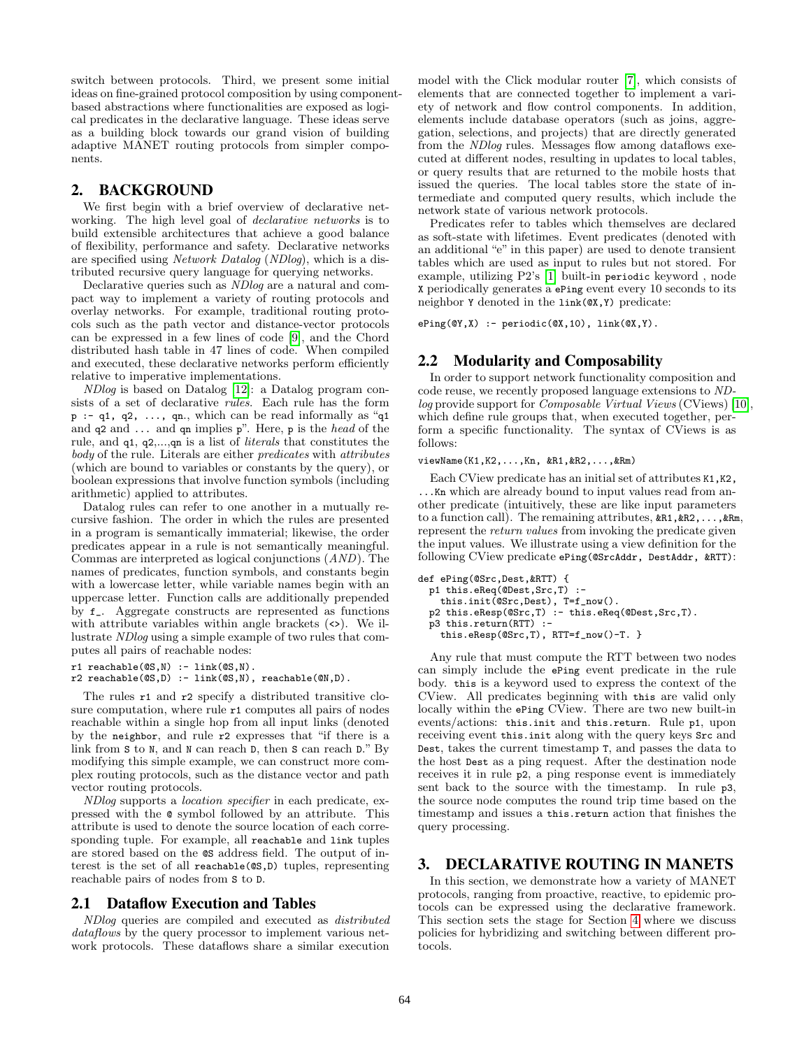switch between protocols. Third, we present some initial ideas on fine-grained protocol composition by using componentbased abstractions where functionalities are exposed as logical predicates in the declarative language. These ideas serve as a building block towards our grand vision of building adaptive MANET routing protocols from simpler components.

### 2. BACKGROUND

We first begin with a brief overview of declarative networking. The high level goal of declarative networks is to build extensible architectures that achieve a good balance of flexibility, performance and safety. Declarative networks are specified using Network Datalog (NDlog), which is a distributed recursive query language for querying networks.

Declarative queries such as NDlog are a natural and compact way to implement a variety of routing protocols and overlay networks. For example, traditional routing protocols such as the path vector and distance-vector protocols can be expressed in a few lines of code [\[9\]](#page-5-6), and the Chord distributed hash table in 47 lines of code. When compiled and executed, these declarative networks perform efficiently relative to imperative implementations.

NDlog is based on Datalog [\[12\]](#page-5-7): a Datalog program consists of a set of declarative rules. Each rule has the form  $p : -q1, q2, \ldots, qn,$  which can be read informally as "q1" and  $q2$  and  $\ldots$  and  $qn$  implies  $p$ ". Here,  $p$  is the head of the rule, and q1, q2,...,qn is a list of literals that constitutes the body of the rule. Literals are either *predicates* with *attributes* (which are bound to variables or constants by the query), or boolean expressions that involve function symbols (including arithmetic) applied to attributes.

Datalog rules can refer to one another in a mutually recursive fashion. The order in which the rules are presented in a program is semantically immaterial; likewise, the order predicates appear in a rule is not semantically meaningful. Commas are interpreted as logical conjunctions (AND). The names of predicates, function symbols, and constants begin with a lowercase letter, while variable names begin with an uppercase letter. Function calls are additionally prepended by f\_. Aggregate constructs are represented as functions with attribute variables within angle brackets  $(\le)$ . We illustrate NDlog using a simple example of two rules that computes all pairs of reachable nodes:

```
r1 reachable(\mathfrak{GS}, \mathbb{N}) : - link(\mathfrak{GS}, \mathbb{N}).
```

```
r2 reachable(@S,D) :- link(@S,N), reachable(@N,D).
```
The rules r1 and r2 specify a distributed transitive closure computation, where rule r1 computes all pairs of nodes reachable within a single hop from all input links (denoted by the neighbor, and rule r2 expresses that "if there is a link from S to N, and N can reach D, then S can reach D." By modifying this simple example, we can construct more complex routing protocols, such as the distance vector and path vector routing protocols.

NDlog supports a location specifier in each predicate, expressed with the @ symbol followed by an attribute. This attribute is used to denote the source location of each corresponding tuple. For example, all reachable and link tuples are stored based on the @S address field. The output of interest is the set of all reachable(@S,D) tuples, representing reachable pairs of nodes from S to D.

## 2.1 Dataflow Execution and Tables

NDlog queries are compiled and executed as distributed dataflows by the query processor to implement various network protocols. These dataflows share a similar execution

model with the Click modular router [\[7\]](#page-5-8), which consists of elements that are connected together to implement a variety of network and flow control components. In addition, elements include database operators (such as joins, aggregation, selections, and projects) that are directly generated from the NDlog rules. Messages flow among dataflows executed at different nodes, resulting in updates to local tables, or query results that are returned to the mobile hosts that issued the queries. The local tables store the state of intermediate and computed query results, which include the network state of various network protocols.

Predicates refer to tables which themselves are declared as soft-state with lifetimes. Event predicates (denoted with an additional "e" in this paper) are used to denote transient tables which are used as input to rules but not stored. For example, utilizing P2's [\[1\]](#page-5-9) built-in periodic keyword , node X periodically generates a ePing event every 10 seconds to its neighbor Y denoted in the link(@X,Y) predicate:

 $ePing(@Y,X)$  :- periodic( $@X,10$ ), link( $@X,Y$ ).

## <span id="page-1-0"></span>2.2 Modularity and Composability

In order to support network functionality composition and code reuse, we recently proposed language extensions to NDlog provide support for *Composable Virtual Views* (CViews) [\[10\]](#page-5-10), which define rule groups that, when executed together, perform a specific functionality. The syntax of CViews is as follows:

#### viewName(K1,K2,...,Kn, &R1,&R2,...,&Rm)

Each CView predicate has an initial set of attributes K1,K2, ...Kn which are already bound to input values read from another predicate (intuitively, these are like input parameters to a function call). The remaining attributes,  $kR1, kR2, \ldots, kRm$ , represent the return values from invoking the predicate given the input values. We illustrate using a view definition for the following CView predicate ePing(@SrcAddr, DestAddr, &RTT):

```
def ePing(@Src,Dest,&RTT) {
 p1 this.eReq(@Dest,Src,T) :-
   this.init(@Src,Dest), T=f_now().
  p2 this.eResp(@Src,T) :- this.eReq(@Dest,Src,T).
  p3 this.return(RTT) :-
    this.eResp(@Src,T), RTT=f_now()-T. }
```
Any rule that must compute the RTT between two nodes can simply include the ePing event predicate in the rule body. this is a keyword used to express the context of the CView. All predicates beginning with this are valid only locally within the ePing CView. There are two new built-in events/actions: this.init and this.return. Rule p1, upon receiving event this.init along with the query keys Src and Dest, takes the current timestamp T, and passes the data to the host Dest as a ping request. After the destination node receives it in rule p2, a ping response event is immediately sent back to the source with the timestamp. In rule p3, the source node computes the round trip time based on the timestamp and issues a this.return action that finishes the query processing.

## 3. DECLARATIVE ROUTING IN MANETS

In this section, we demonstrate how a variety of MANET protocols, ranging from proactive, reactive, to epidemic protocols can be expressed using the declarative framework. This section sets the stage for Section [4](#page-3-0) where we discuss policies for hybridizing and switching between different protocols.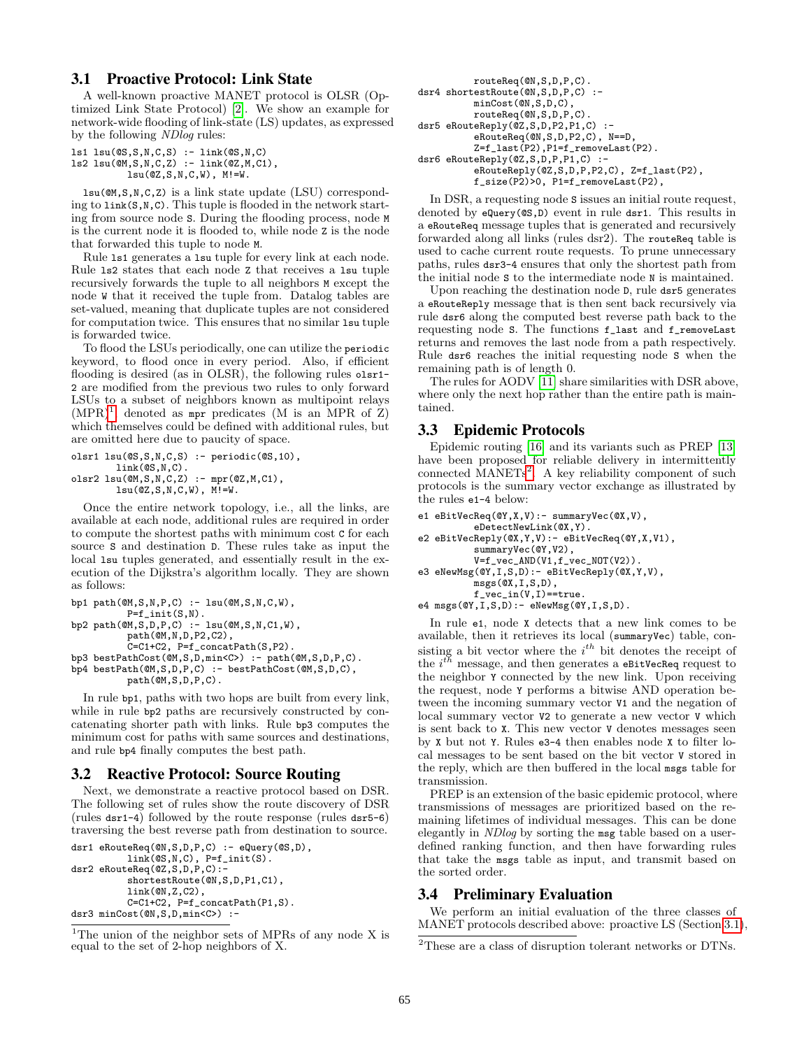#### <span id="page-2-2"></span>3.1 Proactive Protocol: Link State

A well-known proactive MANET protocol is OLSR (Optimized Link State Protocol) [\[2\]](#page-5-2). We show an example for network-wide flooding of link-state (LS) updates, as expressed by the following NDlog rules:

 $ls1 \text{ lsu}(@S,S,N,C,S) :- link(@S,N,C)$ ls2 lsu(@M,S,N,C,Z) :- link(@Z,M,C1), lsu(@Z,S,N,C,W), M!=W.

lsu(@M,S,N,C,Z) is a link state update (LSU) corresponding to link(S,N,C). This tuple is flooded in the network starting from source node S. During the flooding process, node M is the current node it is flooded to, while node Z is the node that forwarded this tuple to node M.

Rule ls1 generates a lsu tuple for every link at each node. Rule ls2 states that each node Z that receives a lsu tuple recursively forwards the tuple to all neighbors M except the node W that it received the tuple from. Datalog tables are set-valued, meaning that duplicate tuples are not considered for computation twice. This ensures that no similar lsu tuple is forwarded twice.

To flood the LSUs periodically, one can utilize the periodic keyword, to flood once in every period. Also, if efficient flooding is desired (as in OLSR), the following rules olsr1- 2 are modified from the previous two rules to only forward LSUs to a subset of neighbors known as multipoint relays  $(MPR)^1$  $(MPR)^1$ , denoted as mpr predicates (M is an MPR of  $Z$ ) which themselves could be defined with additional rules, but are omitted here due to paucity of space.

```
olsr1 lsu(@S,S,N,C,S) :- periodic(@S,10),
        link(@S,N,C).
olsr2 lsu(@M,S,N,C,Z) :- mpr(@Z,M,C1),
        lsu(@Z,S,N,C,W), M!=W.
```
Once the entire network topology, i.e., all the links, are available at each node, additional rules are required in order to compute the shortest paths with minimum cost C for each source  $S$  and destination  $D$ . These rules take as input the local lsu tuples generated, and essentially result in the execution of the Dijkstra's algorithm locally. They are shown as follows:

```
bp1 path(@M,S,N,P,C) :- lsu(@M,S,N,C,W),
          P=f_init(S,N).
bp2 path(@M,S,D,P,C) :- lsu(@M,S,N,C1,W),
          path(@M,N,D,P2,C2),
          C=C1+C2, P=f_{concatPath}(S,P2).
bp3 bestPathCost(@M,S,D,min<C>) :- path(@M,S,D,P,C).
bp4 bestPath(@M,S,D,P,C) :- bestPathCost(@M,S,D,C),
          path(@M,S,D,P,C).
```
In rule bp1, paths with two hops are built from every link, while in rule bp2 paths are recursively constructed by concatenating shorter path with links. Rule bp3 computes the minimum cost for paths with same sources and destinations, and rule bp4 finally computes the best path.

#### <span id="page-2-3"></span>3.2 Reactive Protocol: Source Routing

Next, we demonstrate a reactive protocol based on DSR. The following set of rules show the route discovery of DSR (rules dsr1-4) followed by the route response (rules dsr5-6) traversing the best reverse path from destination to source.

```
dsr1 eRouteReq(@N,S,D,P,C) :- eQuery(@S,D),
          link(es, N, C), P=f_init(S).
dsr2 eRouteReq(@Z,S,D,P,C):-
          shortestRoute(@N,S,D,P1,C1),
          link(@N,Z,C2),
          C=C1+C2, P=f_{\text{concatPath}}(P1, S).
dsr3 minCost(@N,S,D,min<C>) :-
```

```
routeReq(@N,S,D,P,C).
dsr4 shortestRoute(@N,S,D,P,C) :-
          minCost(@N,S,D,C),
          routeReq(@N,S,D,P,C).
dsr5 eRouteReply(@Z,S,D,P2,P1,C) :-
          eRouteReq(@N,S,D,P2,C), N==D,
          Z=f_last(P2),P1=f_removeLast(P2).
dsr6 eRouteReply(@Z,S,D,P,P1,C) :-
          eRouteReply(@Z,S,D,P,P2,C), Z=f_last(P2),
          f_size(P2)>0, P1=f_removeLast(P2),
```
In DSR, a requesting node S issues an initial route request, denoted by eQuery(@S,D) event in rule dsr1. This results in a eRouteReq message tuples that is generated and recursively forwarded along all links (rules dsr2). The routeReq table is used to cache current route requests. To prune unnecessary paths, rules dsr3-4 ensures that only the shortest path from the initial node S to the intermediate node N is maintained.

Upon reaching the destination node D, rule dsr5 generates a eRouteReply message that is then sent back recursively via rule dsr6 along the computed best reverse path back to the requesting node S. The functions f\_last and f\_removeLast returns and removes the last node from a path respectively. Rule dsr6 reaches the initial requesting node S when the remaining path is of length 0.

The rules for AODV [\[11\]](#page-5-1) share similarities with DSR above, where only the next hop rather than the entire path is maintained.

#### <span id="page-2-4"></span>3.3 Epidemic Protocols

Epidemic routing [\[16\]](#page-5-11) and its variants such as PREP [\[13\]](#page-5-12) have been proposed for reliable delivery in intermittently connected  $\widehat{M}$ ANETs<sup>[2](#page-2-1)</sup>. A key reliability component of such protocols is the summary vector exchange as illustrated by the rules e1-4 below:

```
e1 eBitVecReq(@Y,X,V):- summaryVec(@X,V),
          eDetectNewLink(@X,Y).
e2 eBitVecReply(@X,Y,V):- eBitVecReq(@Y,X,V1),
          summaryVec(@Y,V2),
          V=f_vec_AND(V1,f_vec_NOT(V2)).
e3 eNewMsg(@Y,I,S,D):- eBitVecReply(@X,Y,V),
          msgs(@X,I,S,D),
          f_{vec,in}(V,I)==true.e4 msgs(@Y,I,S,D):- eNewMsg(@Y,I,S,D).
```
In rule e1, node X detects that a new link comes to be available, then it retrieves its local (summaryVec) table, consisting a bit vector where the  $i^{th}$  bit denotes the receipt of the  $i^{th}$  message, and then generates a eBitVecReq request to the neighbor Y connected by the new link. Upon receiving the request, node Y performs a bitwise AND operation between the incoming summary vector V1 and the negation of local summary vector V2 to generate a new vector V which is sent back to X. This new vector V denotes messages seen by X but not Y. Rules e3-4 then enables node X to filter local messages to be sent based on the bit vector V stored in the reply, which are then buffered in the local msgs table for transmission.

PREP is an extension of the basic epidemic protocol, where transmissions of messages are prioritized based on the remaining lifetimes of individual messages. This can be done elegantly in NDlog by sorting the msg table based on a userdefined ranking function, and then have forwarding rules that take the msgs table as input, and transmit based on the sorted order.

### 3.4 Preliminary Evaluation

We perform an initial evaluation of the three classes of MANET protocols described above: proactive LS (Section [3.1\)](#page-2-2),

<span id="page-2-0"></span><sup>&</sup>lt;sup>1</sup>The union of the neighbor sets of MPRs of any node X is equal to the set of 2-hop neighbors of X.

<span id="page-2-1"></span> $^2 \mathrm{These}$  are a class of disruption tolerant networks or DTNs.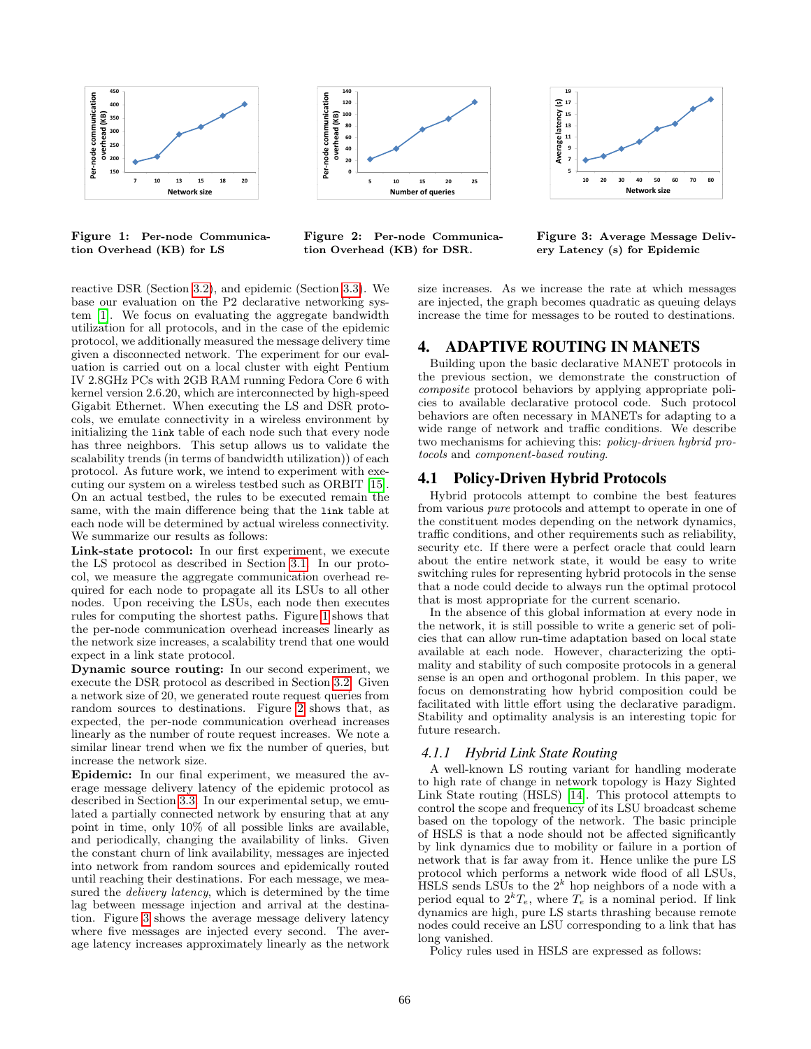

<span id="page-3-1"></span>Figure 1: Per-node Communication Overhead (KB) for LS



Figure 2: Per-node Communication Overhead (KB) for DSR.



<span id="page-3-3"></span>Figure 3: Average Message Delivery Latency (s) for Epidemic

reactive DSR (Section [3.2\)](#page-2-3), and epidemic (Section [3.3\)](#page-2-4). We base our evaluation on the P2 declarative networking system [\[1\]](#page-5-9). We focus on evaluating the aggregate bandwidth utilization for all protocols, and in the case of the epidemic protocol, we additionally measured the message delivery time given a disconnected network. The experiment for our evaluation is carried out on a local cluster with eight Pentium IV 2.8GHz PCs with 2GB RAM running Fedora Core 6 with kernel version 2.6.20, which are interconnected by high-speed Gigabit Ethernet. When executing the LS and DSR protocols, we emulate connectivity in a wireless environment by initializing the link table of each node such that every node has three neighbors. This setup allows us to validate the scalability trends (in terms of bandwidth utilization)) of each protocol. As future work, we intend to experiment with executing our system on a wireless testbed such as ORBIT [\[15\]](#page-5-13). On an actual testbed, the rules to be executed remain the same, with the main difference being that the link table at each node will be determined by actual wireless connectivity. We summarize our results as follows:

Link-state protocol: In our first experiment, we execute the LS protocol as described in Section [3.1.](#page-2-2) In our protocol, we measure the aggregate communication overhead required for each node to propagate all its LSUs to all other nodes. Upon receiving the LSUs, each node then executes rules for computing the shortest paths. Figure [1](#page-3-1) shows that the per-node communication overhead increases linearly as the network size increases, a scalability trend that one would expect in a link state protocol.

Dynamic source routing: In our second experiment, we execute the DSR protocol as described in Section [3.2.](#page-2-3) Given a network size of 20, we generated route request queries from random sources to destinations. Figure [2](#page-3-2) shows that, as expected, the per-node communication overhead increases linearly as the number of route request increases. We note a similar linear trend when we fix the number of queries, but increase the network size.

Epidemic: In our final experiment, we measured the average message delivery latency of the epidemic protocol as described in Section [3.3.](#page-2-4) In our experimental setup, we emulated a partially connected network by ensuring that at any point in time, only 10% of all possible links are available, and periodically, changing the availability of links. Given the constant churn of link availability, messages are injected into network from random sources and epidemically routed until reaching their destinations. For each message, we measured the *delivery latency*, which is determined by the time lag between message injection and arrival at the destination. Figure [3](#page-3-3) shows the average message delivery latency where five messages are injected every second. The average latency increases approximately linearly as the network <span id="page-3-2"></span>size increases. As we increase the rate at which messages are injected, the graph becomes quadratic as queuing delays increase the time for messages to be routed to destinations.

## <span id="page-3-0"></span>4. ADAPTIVE ROUTING IN MANETS

Building upon the basic declarative MANET protocols in the previous section, we demonstrate the construction of composite protocol behaviors by applying appropriate policies to available declarative protocol code. Such protocol behaviors are often necessary in MANETs for adapting to a wide range of network and traffic conditions. We describe two mechanisms for achieving this: *policy-driven hybrid pro*tocols and component-based routing.

#### <span id="page-3-4"></span>4.1 Policy-Driven Hybrid Protocols

Hybrid protocols attempt to combine the best features from various pure protocols and attempt to operate in one of the constituent modes depending on the network dynamics, traffic conditions, and other requirements such as reliability, security etc. If there were a perfect oracle that could learn about the entire network state, it would be easy to write switching rules for representing hybrid protocols in the sense that a node could decide to always run the optimal protocol that is most appropriate for the current scenario.

In the absence of this global information at every node in the network, it is still possible to write a generic set of policies that can allow run-time adaptation based on local state available at each node. However, characterizing the optimality and stability of such composite protocols in a general sense is an open and orthogonal problem. In this paper, we focus on demonstrating how hybrid composition could be facilitated with little effort using the declarative paradigm. Stability and optimality analysis is an interesting topic for future research.

#### *4.1.1 Hybrid Link State Routing*

A well-known LS routing variant for handling moderate to high rate of change in network topology is Hazy Sighted Link State routing (HSLS) [\[14\]](#page-5-14). This protocol attempts to control the scope and frequency of its LSU broadcast scheme based on the topology of the network. The basic principle of HSLS is that a node should not be affected significantly by link dynamics due to mobility or failure in a portion of network that is far away from it. Hence unlike the pure LS protocol which performs a network wide flood of all LSUs, HSLS sends LSUs to the  $2^k$  hop neighbors of a node with a period equal to  $2^kT_e$ , where  $T_e$  is a nominal period. If link dynamics are high, pure LS starts thrashing because remote nodes could receive an LSU corresponding to a link that has long vanished.

Policy rules used in HSLS are expressed as follows: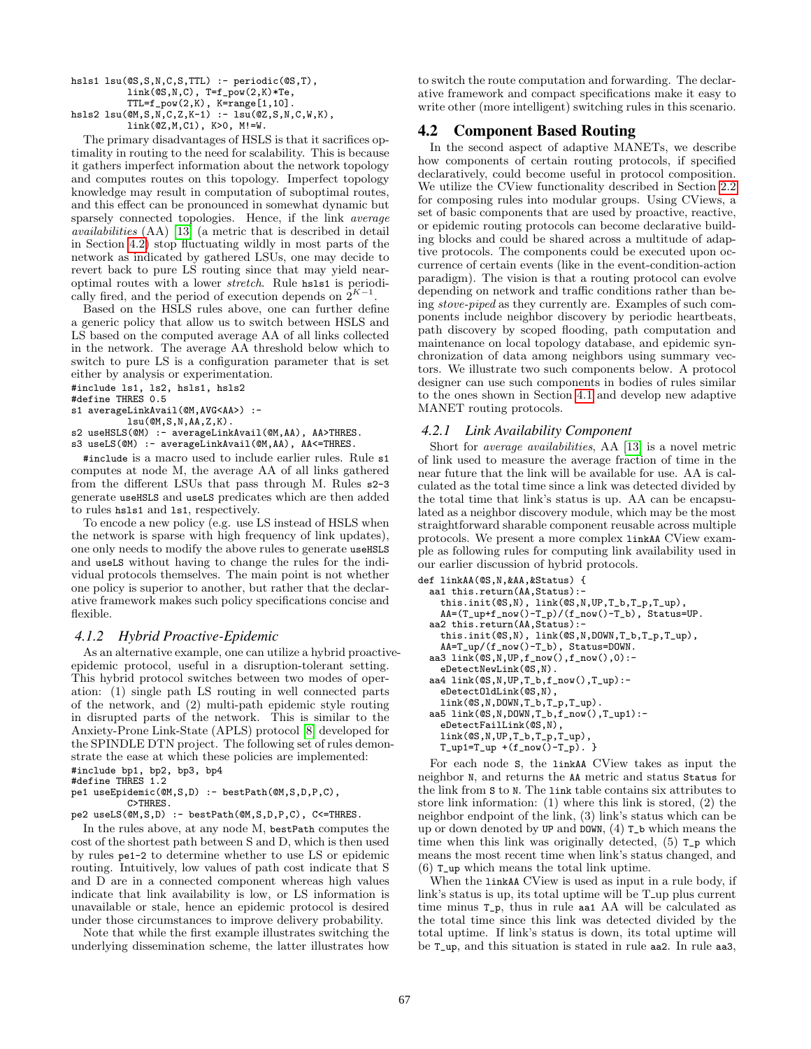```
hsls1 lsu(@S,S,N,C,S,TTL) :- periodic(@S,T),
            \mathtt{link}(\mathbb{GS},\mathtt{N},\mathtt{C}), T=f_pow(2,K)*Te,
            TTL=f_pow(2,K), K=range[1,10].
hsls2 lsu(@M,S,N,C,Z,K-1) :- lsu(@Z,S,N,C,W,K),
            link(@Z,M,C1), K>0, M!=W.
```
The primary disadvantages of HSLS is that it sacrifices optimality in routing to the need for scalability. This is because it gathers imperfect information about the network topology and computes routes on this topology. Imperfect topology knowledge may result in computation of suboptimal routes, and this effect can be pronounced in somewhat dynamic but sparsely connected topologies. Hence, if the link average availabilities (AA) [\[13\]](#page-5-12) (a metric that is described in detail in Section [4.2\)](#page-4-0) stop fluctuating wildly in most parts of the network as indicated by gathered LSUs, one may decide to revert back to pure LS routing since that may yield nearoptimal routes with a lower stretch. Rule hsls1 is periodically fired, and the period of execution depends on  $2^{K-1}$ .

Based on the HSLS rules above, one can further define a generic policy that allow us to switch between HSLS and LS based on the computed average AA of all links collected in the network. The average AA threshold below which to switch to pure LS is a configuration parameter that is set either by analysis or experimentation.

```
#include ls1, ls2, hsls1, hsls2
#define THRES 0.5
```

```
s1 averageLinkAvail(@M,AVG<AA>) :-
```

```
lsu(@M,S,N,AA,Z,K).
```
s2 useHSLS(@M) :- averageLinkAvail(@M,AA), AA>THRES. s3 useLS(@M) :- averageLinkAvail(@M,AA), AA<=THRES.

#include is a macro used to include earlier rules. Rule s1 computes at node M, the average AA of all links gathered from the different LSUs that pass through M. Rules s2-3 generate useHSLS and useLS predicates which are then added to rules hsls1 and ls1, respectively.

To encode a new policy (e.g. use LS instead of HSLS when the network is sparse with high frequency of link updates), one only needs to modify the above rules to generate useHSLS and useLS without having to change the rules for the individual protocols themselves. The main point is not whether one policy is superior to another, but rather that the declarative framework makes such policy specifications concise and flexible.

#### *4.1.2 Hybrid Proactive-Epidemic*

As an alternative example, one can utilize a hybrid proactiveepidemic protocol, useful in a disruption-tolerant setting. This hybrid protocol switches between two modes of operation: (1) single path LS routing in well connected parts of the network, and (2) multi-path epidemic style routing in disrupted parts of the network. This is similar to the Anxiety-Prone Link-State (APLS) protocol [\[8\]](#page-5-4) developed for the SPINDLE DTN project. The following set of rules demonstrate the ease at which these policies are implemented:

```
#include bp1, bp2, bp3, bp4
```

```
#define THRES 1.2
```

```
pe1 useEpidemic(@M,S,D) :- bestPath(@M,S,D,P,C),
          C>THRES.
```

```
pe2 useLS(@M,S,D) :- bestPath(@M,S,D,P,C), C<=THRES.
```
In the rules above, at any node M, bestPath computes the cost of the shortest path between S and D, which is then used by rules pe1-2 to determine whether to use LS or epidemic routing. Intuitively, low values of path cost indicate that S and D are in a connected component whereas high values indicate that link availability is low, or LS information is unavailable or stale, hence an epidemic protocol is desired under those circumstances to improve delivery probability.

Note that while the first example illustrates switching the underlying dissemination scheme, the latter illustrates how to switch the route computation and forwarding. The declarative framework and compact specifications make it easy to write other (more intelligent) switching rules in this scenario.

# <span id="page-4-0"></span>4.2 Component Based Routing

In the second aspect of adaptive MANETs, we describe how components of certain routing protocols, if specified declaratively, could become useful in protocol composition. We utilize the CView functionality described in Section [2.2](#page-1-0) for composing rules into modular groups. Using CViews, a set of basic components that are used by proactive, reactive, or epidemic routing protocols can become declarative building blocks and could be shared across a multitude of adaptive protocols. The components could be executed upon occurrence of certain events (like in the event-condition-action paradigm). The vision is that a routing protocol can evolve depending on network and traffic conditions rather than being stove-piped as they currently are. Examples of such components include neighbor discovery by periodic heartbeats, path discovery by scoped flooding, path computation and maintenance on local topology database, and epidemic synchronization of data among neighbors using summary vectors. We illustrate two such components below. A protocol designer can use such components in bodies of rules similar to the ones shown in Section [4.1](#page-3-4) and develop new adaptive MANET routing protocols.

## *4.2.1 Link Availability Component*

Short for average availabilities, AA [\[13\]](#page-5-12) is a novel metric of link used to measure the average fraction of time in the near future that the link will be available for use. AA is calculated as the total time since a link was detected divided by the total time that link's status is up. AA can be encapsulated as a neighbor discovery module, which may be the most straightforward sharable component reusable across multiple protocols. We present a more complex linkAA CView example as following rules for computing link availability used in our earlier discussion of hybrid protocols.

```
def linkAA(@S,N,&AA,&Status) {
  aa1 this.return(AA, Status):
    this.init(@S,N), link(@S,N,UP,T_b,T_p,T_up),
    AA=(T_up+f_now()-T_p)/(f_now()-T_b), Status=UP.
  aa2 this.return(AA,Status):-
    this.init(@S,N), link(@S,N,DOWN,T_b,T_p,T_up),
    AA=T_up/(f_now()-T_b), Status=DOWN.
  aa3 link(@S,N,UP,f_now(),f_now(),0):-
    eDetectNewLink(@S,N).
  aa4 link(@S,N,UP,T_b,f_now(),T_up):-
    eDetectOldLink(@S,N),
    link(@S,N,DOWN,T_b,T_p,T_up).
  aa5 link(@S,N,DOWN,T_b,f_now(),T_up1):-
    eDetectFailLink(@S,N),
    link(@S,N,UP,T_b,T_p,T_up),
    T_{up1}=T_{up}+(f_{now()}-T_{p}).
```
For each node S, the linkAA CView takes as input the neighbor N, and returns the AA metric and status Status for the link from S to N. The link table contains six attributes to store link information: (1) where this link is stored, (2) the neighbor endpoint of the link, (3) link's status which can be up or down denoted by UP and DOWN,  $(4)$  T\_b which means the time when this link was originally detected, (5) T\_p which means the most recent time when link's status changed, and (6) T\_up which means the total link uptime.

When the linkAA CView is used as input in a rule body, if link's status is up, its total uptime will be  $T_{\text{up}}$  plus current time minus T\_p, thus in rule aa1 AA will be calculated as the total time since this link was detected divided by the total uptime. If link's status is down, its total uptime will be T\_up, and this situation is stated in rule aa2. In rule aa3,